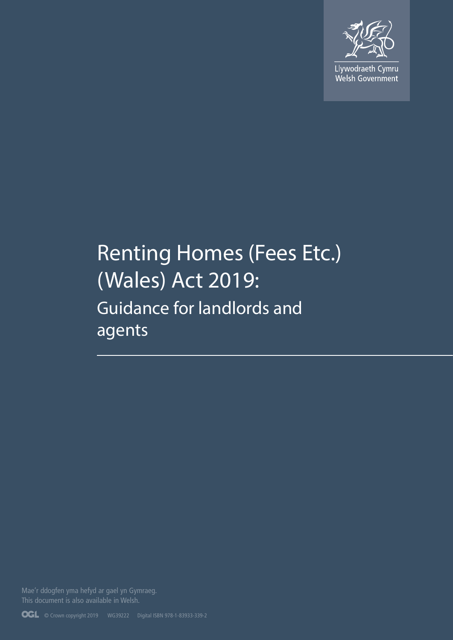

Llywodraeth Cymru<br>Welsh Government

# Renting Homes (Fees Etc.) (Wales) Act 2019: Guidance for landlords and agents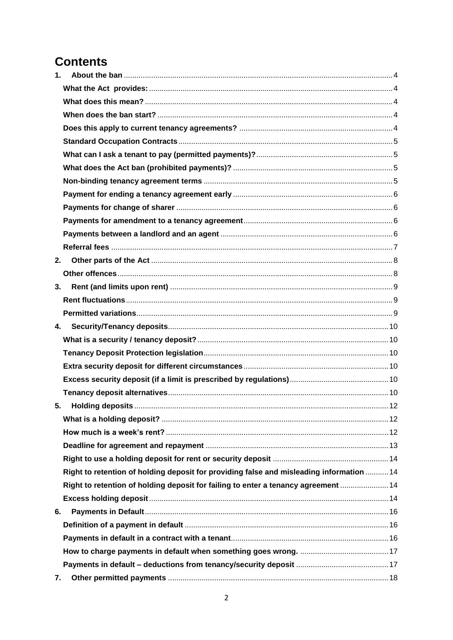## **Contents**

| 1. |                                                                                          |  |
|----|------------------------------------------------------------------------------------------|--|
|    |                                                                                          |  |
|    |                                                                                          |  |
|    |                                                                                          |  |
|    |                                                                                          |  |
|    |                                                                                          |  |
|    |                                                                                          |  |
|    |                                                                                          |  |
|    |                                                                                          |  |
|    |                                                                                          |  |
|    |                                                                                          |  |
|    |                                                                                          |  |
|    |                                                                                          |  |
|    |                                                                                          |  |
| 2. |                                                                                          |  |
|    |                                                                                          |  |
| 3. |                                                                                          |  |
|    |                                                                                          |  |
|    |                                                                                          |  |
|    | 4.                                                                                       |  |
|    |                                                                                          |  |
|    |                                                                                          |  |
|    |                                                                                          |  |
|    |                                                                                          |  |
|    |                                                                                          |  |
| 5. |                                                                                          |  |
|    |                                                                                          |  |
|    |                                                                                          |  |
|    |                                                                                          |  |
|    |                                                                                          |  |
|    | Right to retention of holding deposit for providing false and misleading information  14 |  |
|    | Right to retention of holding deposit for failing to enter a tenancy agreement  14       |  |
|    |                                                                                          |  |
| 6. |                                                                                          |  |
|    |                                                                                          |  |
|    |                                                                                          |  |
|    |                                                                                          |  |
|    |                                                                                          |  |
| 7. |                                                                                          |  |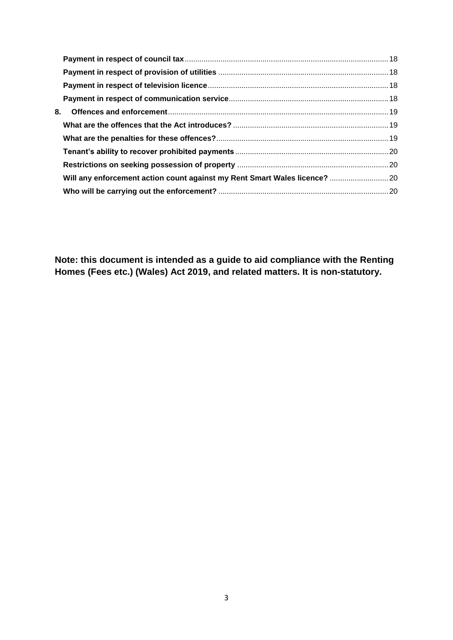| 8. |                                                                            |  |
|----|----------------------------------------------------------------------------|--|
|    |                                                                            |  |
|    |                                                                            |  |
|    |                                                                            |  |
|    |                                                                            |  |
|    | Will any enforcement action count against my Rent Smart Wales licence?  20 |  |
|    |                                                                            |  |
|    |                                                                            |  |

**Note: this document is intended as a guide to aid compliance with the Renting Homes (Fees etc.) (Wales) Act 2019, and related matters. It is non-statutory.**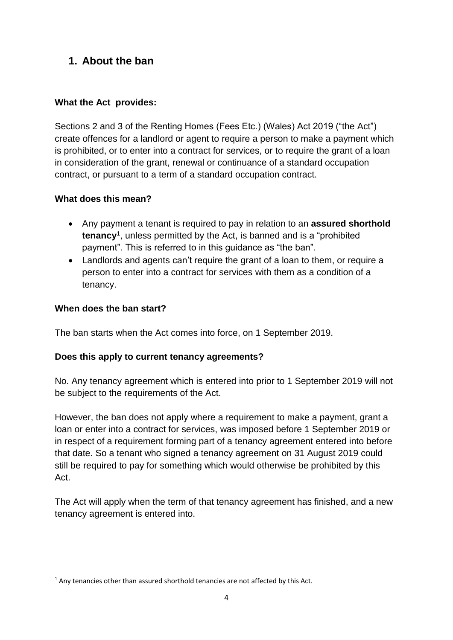## <span id="page-3-0"></span>**1. About the ban**

#### <span id="page-3-1"></span>**What the Act provides:**

Sections 2 and 3 of the Renting Homes (Fees Etc.) (Wales) Act 2019 ("the Act") create offences for a landlord or agent to require a person to make a payment which is prohibited, or to enter into a contract for services, or to require the grant of a loan in consideration of the grant, renewal or continuance of a standard occupation contract, or pursuant to a term of a standard occupation contract.

#### <span id="page-3-2"></span>**What does this mean?**

- Any payment a tenant is required to pay in relation to an **assured shorthold tenancy**<sup>1</sup> , unless permitted by the Act, is banned and is a "prohibited payment". This is referred to in this guidance as "the ban".
- Landlords and agents can't require the grant of a loan to them, or require a person to enter into a contract for services with them as a condition of a tenancy.

#### <span id="page-3-3"></span>**When does the ban start?**

**.** 

The ban starts when the Act comes into force, on 1 September 2019.

#### <span id="page-3-4"></span>**Does this apply to current tenancy agreements?**

No. Any tenancy agreement which is entered into prior to 1 September 2019 will not be subject to the requirements of the Act.

However, the ban does not apply where a requirement to make a payment, grant a loan or enter into a contract for services, was imposed before 1 September 2019 or in respect of a requirement forming part of a tenancy agreement entered into before that date. So a tenant who signed a tenancy agreement on 31 August 2019 could still be required to pay for something which would otherwise be prohibited by this Act.

The Act will apply when the term of that tenancy agreement has finished, and a new tenancy agreement is entered into.

 $1$  Any tenancies other than assured shorthold tenancies are not affected by this Act.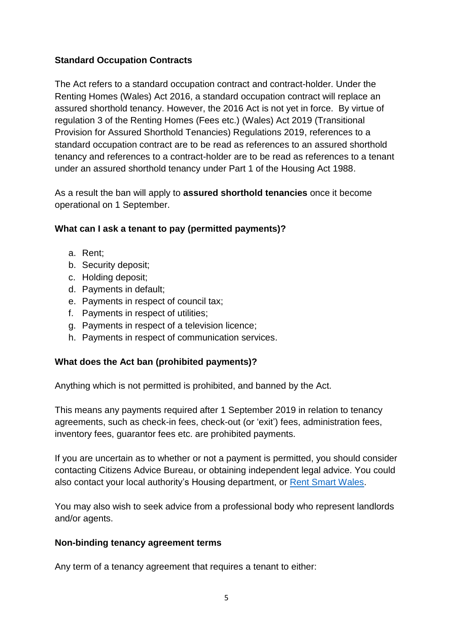#### <span id="page-4-0"></span>**Standard Occupation Contracts**

The Act refers to a standard occupation contract and contract-holder. Under the Renting Homes (Wales) Act 2016, a standard occupation contract will replace an assured shorthold tenancy. However, the 2016 Act is not yet in force. By virtue of regulation 3 of the Renting Homes (Fees etc.) (Wales) Act 2019 (Transitional Provision for Assured Shorthold Tenancies) Regulations 2019, references to a standard occupation contract are to be read as references to an assured shorthold tenancy and references to a contract-holder are to be read as references to a tenant under an assured shorthold tenancy under Part 1 of the Housing Act 1988.

As a result the ban will apply to **assured shorthold tenancies** once it become operational on 1 September.

#### <span id="page-4-1"></span>**What can I ask a tenant to pay (permitted payments)?**

- a. Rent;
- b. Security deposit;
- c. Holding deposit;
- d. Payments in default;
- e. Payments in respect of council tax;
- f. Payments in respect of utilities;
- g. Payments in respect of a television licence;
- h. Payments in respect of communication services.

#### <span id="page-4-2"></span>**What does the Act ban (prohibited payments)?**

Anything which is not permitted is prohibited, and banned by the Act.

This means any payments required after 1 September 2019 in relation to tenancy agreements, such as check-in fees, check-out (or 'exit') fees, administration fees, inventory fees, guarantor fees etc. are prohibited payments.

If you are uncertain as to whether or not a payment is permitted, you should consider contacting Citizens Advice Bureau, or obtaining independent legal advice. You could also contact your local authority's Housing department, or [Rent Smart Wales.](https://www.rentsmart.gov.wales/en/)

You may also wish to seek advice from a professional body who represent landlords and/or agents.

#### <span id="page-4-3"></span>**Non-binding tenancy agreement terms**

Any term of a tenancy agreement that requires a tenant to either: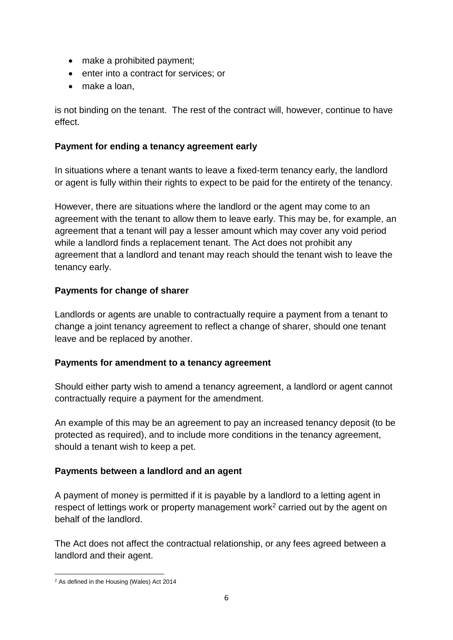- make a prohibited payment;
- enter into a contract for services; or
- make a loan,

is not binding on the tenant. The rest of the contract will, however, continue to have effect.

#### <span id="page-5-0"></span>**Payment for ending a tenancy agreement early**

In situations where a tenant wants to leave a fixed-term tenancy early, the landlord or agent is fully within their rights to expect to be paid for the entirety of the tenancy.

However, there are situations where the landlord or the agent may come to an agreement with the tenant to allow them to leave early. This may be, for example, an agreement that a tenant will pay a lesser amount which may cover any void period while a landlord finds a replacement tenant. The Act does not prohibit any agreement that a landlord and tenant may reach should the tenant wish to leave the tenancy early.

#### <span id="page-5-1"></span>**Payments for change of sharer**

Landlords or agents are unable to contractually require a payment from a tenant to change a joint tenancy agreement to reflect a change of sharer, should one tenant leave and be replaced by another.

#### <span id="page-5-2"></span>**Payments for amendment to a tenancy agreement**

Should either party wish to amend a tenancy agreement, a landlord or agent cannot contractually require a payment for the amendment.

An example of this may be an agreement to pay an increased tenancy deposit (to be protected as required), and to include more conditions in the tenancy agreement, should a tenant wish to keep a pet.

#### <span id="page-5-3"></span>**Payments between a landlord and an agent**

A payment of money is permitted if it is payable by a landlord to a letting agent in respect of lettings work or property management work<sup>2</sup> carried out by the agent on behalf of the landlord.

The Act does not affect the contractual relationship, or any fees agreed between a landlord and their agent.

**<sup>.</sup>** <sup>2</sup> As defined in the Housing (Wales) Act 2014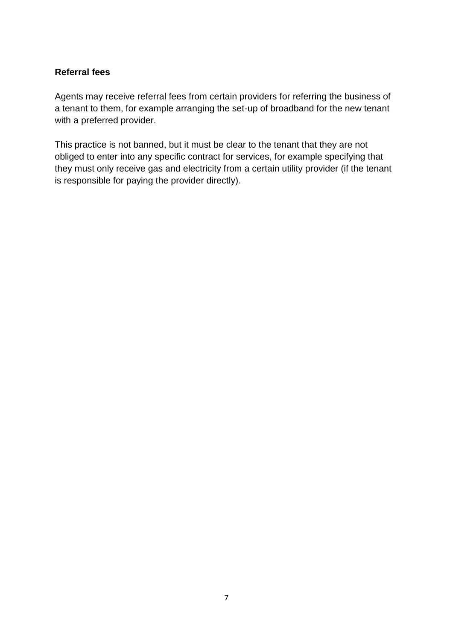#### <span id="page-6-0"></span>**Referral fees**

Agents may receive referral fees from certain providers for referring the business of a tenant to them, for example arranging the set-up of broadband for the new tenant with a preferred provider.

This practice is not banned, but it must be clear to the tenant that they are not obliged to enter into any specific contract for services, for example specifying that they must only receive gas and electricity from a certain utility provider (if the tenant is responsible for paying the provider directly).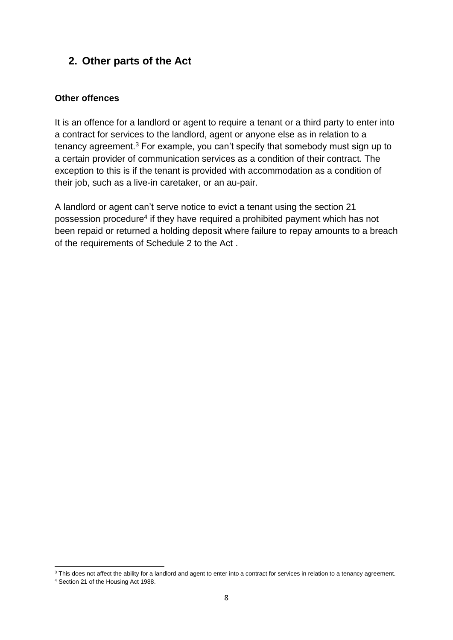## <span id="page-7-0"></span>**2. Other parts of the Act**

#### <span id="page-7-1"></span>**Other offences**

It is an offence for a landlord or agent to require a tenant or a third party to enter into a contract for services to the landlord, agent or anyone else as in relation to a tenancy agreement.<sup>3</sup> For example, you can't specify that somebody must sign up to a certain provider of communication services as a condition of their contract. The exception to this is if the tenant is provided with accommodation as a condition of their job, such as a live-in caretaker, or an au-pair.

A landlord or agent can't serve notice to evict a tenant using the section 21 possession procedure<sup>4</sup> if they have required a prohibited payment which has not been repaid or returned a holding deposit where failure to repay amounts to a breach of the requirements of Schedule 2 to the Act .

**.** 

<sup>&</sup>lt;sup>3</sup> This does not affect the ability for a landlord and agent to enter into a contract for services in relation to a tenancy agreement.

<sup>4</sup> Section 21 of the Housing Act 1988.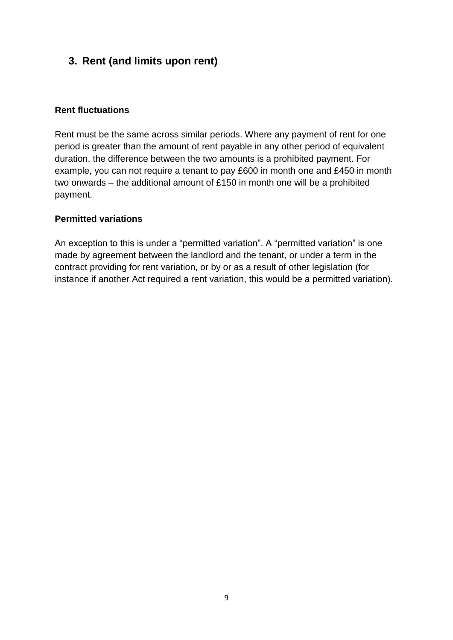## <span id="page-8-0"></span>**3. Rent (and limits upon rent)**

#### <span id="page-8-1"></span>**Rent fluctuations**

Rent must be the same across similar periods. Where any payment of rent for one period is greater than the amount of rent payable in any other period of equivalent duration, the difference between the two amounts is a prohibited payment. For example, you can not require a tenant to pay £600 in month one and £450 in month two onwards – the additional amount of £150 in month one will be a prohibited payment.

#### <span id="page-8-2"></span>**Permitted variations**

An exception to this is under a "permitted variation". A "permitted variation" is one made by agreement between the landlord and the tenant, or under a term in the contract providing for rent variation, or by or as a result of other legislation (for instance if another Act required a rent variation, this would be a permitted variation).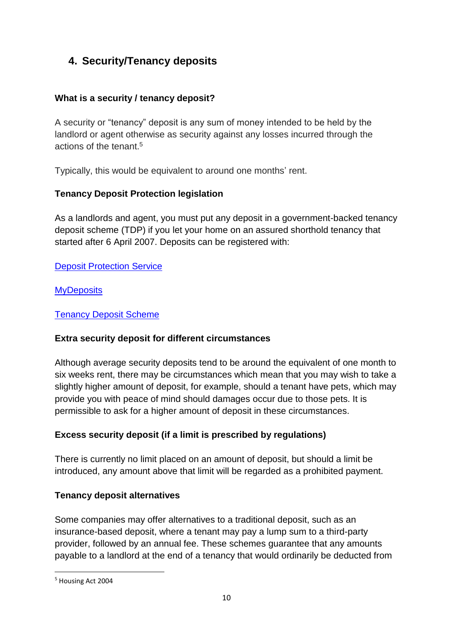## <span id="page-9-0"></span>**4. Security/Tenancy deposits**

#### <span id="page-9-1"></span>**What is a security / tenancy deposit?**

A security or "tenancy" deposit is any sum of money intended to be held by the landlord or agent otherwise as security against any losses incurred through the actions of the tenant. 5

Typically, this would be equivalent to around one months' rent.

#### <span id="page-9-2"></span>**Tenancy Deposit Protection legislation**

As a landlords and agent, you must put any deposit in a government-backed tenancy deposit scheme (TDP) if you let your home on an assured shorthold tenancy that started after 6 April 2007. Deposits can be registered with:

**[Deposit Protection Service](http://www.depositprotection.com/)** 

**[MyDeposits](http://www.mydeposits.co.uk/)** 

#### [Tenancy Deposit Scheme](https://www.tenancydepositscheme.com/)

#### <span id="page-9-3"></span>**Extra security deposit for different circumstances**

Although average security deposits tend to be around the equivalent of one month to six weeks rent, there may be circumstances which mean that you may wish to take a slightly higher amount of deposit, for example, should a tenant have pets, which may provide you with peace of mind should damages occur due to those pets. It is permissible to ask for a higher amount of deposit in these circumstances.

#### <span id="page-9-4"></span>**Excess security deposit (if a limit is prescribed by regulations)**

There is currently no limit placed on an amount of deposit, but should a limit be introduced, any amount above that limit will be regarded as a prohibited payment.

#### <span id="page-9-5"></span>**Tenancy deposit alternatives**

Some companies may offer alternatives to a traditional deposit, such as an insurance-based deposit, where a tenant may pay a lump sum to a third-party provider, followed by an annual fee. These schemes guarantee that any amounts payable to a landlord at the end of a tenancy that would ordinarily be deducted from

**.** 

<sup>5</sup> Housing Act 2004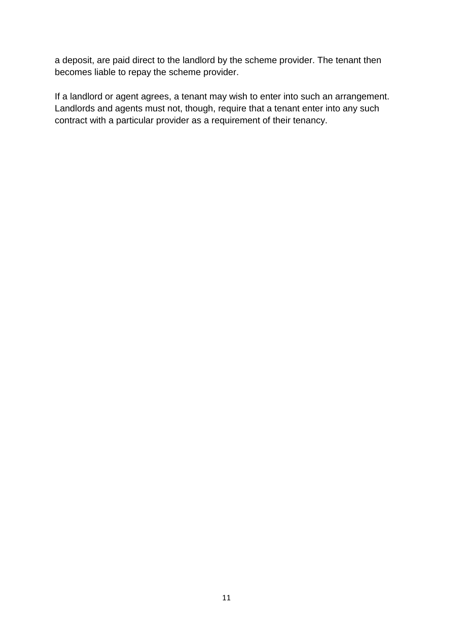a deposit, are paid direct to the landlord by the scheme provider. The tenant then becomes liable to repay the scheme provider.

If a landlord or agent agrees, a tenant may wish to enter into such an arrangement. Landlords and agents must not, though, require that a tenant enter into any such contract with a particular provider as a requirement of their tenancy.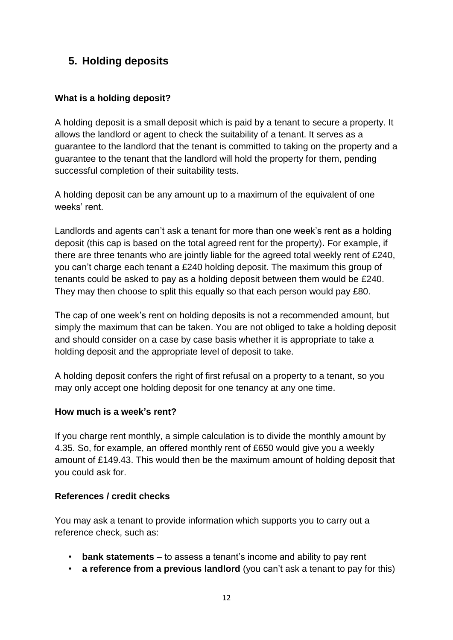## <span id="page-11-0"></span>**5. Holding deposits**

#### <span id="page-11-1"></span>**What is a holding deposit?**

A holding deposit is a small deposit which is paid by a tenant to secure a property. It allows the landlord or agent to check the suitability of a tenant. It serves as a guarantee to the landlord that the tenant is committed to taking on the property and a guarantee to the tenant that the landlord will hold the property for them, pending successful completion of their suitability tests.

A holding deposit can be any amount up to a maximum of the equivalent of one weeks' rent.

Landlords and agents can't ask a tenant for more than one week's rent as a holding deposit (this cap is based on the total agreed rent for the property)**.** For example, if there are three tenants who are jointly liable for the agreed total weekly rent of £240, you can't charge each tenant a £240 holding deposit. The maximum this group of tenants could be asked to pay as a holding deposit between them would be £240. They may then choose to split this equally so that each person would pay £80.

The cap of one week's rent on holding deposits is not a recommended amount, but simply the maximum that can be taken. You are not obliged to take a holding deposit and should consider on a case by case basis whether it is appropriate to take a holding deposit and the appropriate level of deposit to take.

A holding deposit confers the right of first refusal on a property to a tenant, so you may only accept one holding deposit for one tenancy at any one time.

#### <span id="page-11-2"></span>**How much is a week's rent?**

If you charge rent monthly, a simple calculation is to divide the monthly amount by 4.35. So, for example, an offered monthly rent of £650 would give you a weekly amount of £149.43. This would then be the maximum amount of holding deposit that you could ask for.

#### **References / credit checks**

You may ask a tenant to provide information which supports you to carry out a reference check, such as:

- **bank statements**  to assess a tenant's income and ability to pay rent
- **a reference from a previous landlord** (you can't ask a tenant to pay for this)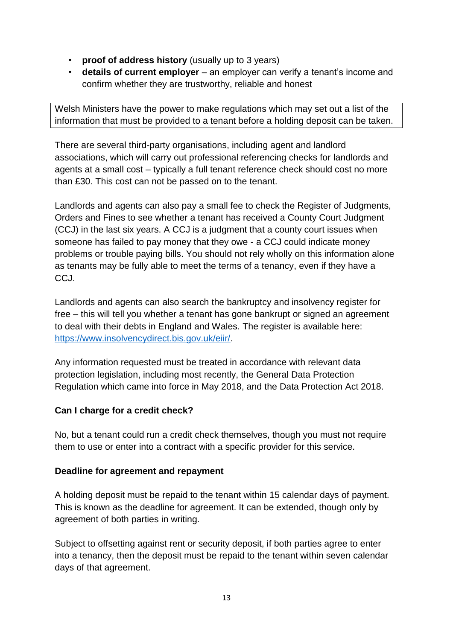- **proof of address history** (usually up to 3 years)
- **details of current employer**  an employer can verify a tenant's income and confirm whether they are trustworthy, reliable and honest

Welsh Ministers have the power to make regulations which may set out a list of the information that must be provided to a tenant before a holding deposit can be taken.

There are several third-party organisations, including agent and landlord associations, which will carry out professional referencing checks for landlords and agents at a small cost – typically a full tenant reference check should cost no more than £30. This cost can not be passed on to the tenant.

Landlords and agents can also pay a small fee to check the Register of Judgments, Orders and Fines to see whether a tenant has received a County Court Judgment (CCJ) in the last six years. A CCJ is a judgment that a county court issues when someone has failed to pay money that they owe - a CCJ could indicate money problems or trouble paying bills. You should not rely wholly on this information alone as tenants may be fully able to meet the terms of a tenancy, even if they have a CCJ.

Landlords and agents can also search the bankruptcy and insolvency register for free – this will tell you whether a tenant has gone bankrupt or signed an agreement to deal with their debts in England and Wales. The register is available here: [https://www.insolvencydirect.bis.gov.uk/eiir/.](https://www.insolvencydirect.bis.gov.uk/eiir/)

Any information requested must be treated in accordance with relevant data protection legislation, including most recently, the General Data Protection Regulation which came into force in May 2018, and the Data Protection Act 2018.

#### **Can I charge for a credit check?**

No, but a tenant could run a credit check themselves, though you must not require them to use or enter into a contract with a specific provider for this service.

#### <span id="page-12-0"></span>**Deadline for agreement and repayment**

A holding deposit must be repaid to the tenant within 15 calendar days of payment. This is known as the deadline for agreement. It can be extended, though only by agreement of both parties in writing.

Subject to offsetting against rent or security deposit, if both parties agree to enter into a tenancy, then the deposit must be repaid to the tenant within seven calendar days of that agreement.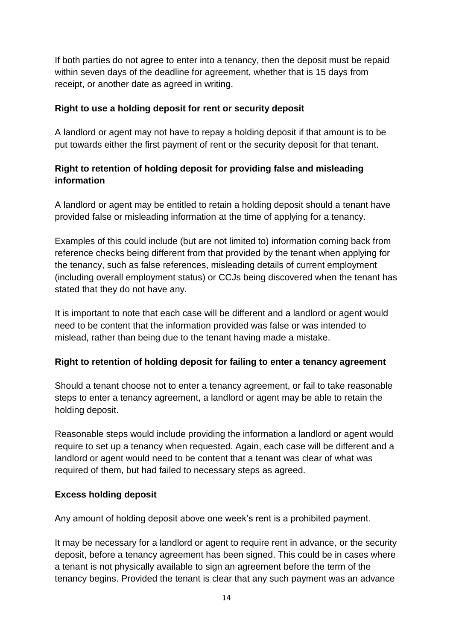If both parties do not agree to enter into a tenancy, then the deposit must be repaid within seven days of the deadline for agreement, whether that is 15 days from receipt, or another date as agreed in writing.

#### <span id="page-13-0"></span>**Right to use a holding deposit for rent or security deposit**

A landlord or agent may not have to repay a holding deposit if that amount is to be put towards either the first payment of rent or the security deposit for that tenant.

#### <span id="page-13-1"></span>**Right to retention of holding deposit for providing false and misleading information**

A landlord or agent may be entitled to retain a holding deposit should a tenant have provided false or misleading information at the time of applying for a tenancy.

Examples of this could include (but are not limited to) information coming back from reference checks being different from that provided by the tenant when applying for the tenancy, such as false references, misleading details of current employment (including overall employment status) or CCJs being discovered when the tenant has stated that they do not have any.

It is important to note that each case will be different and a landlord or agent would need to be content that the information provided was false or was intended to mislead, rather than being due to the tenant having made a mistake.

#### <span id="page-13-2"></span>**Right to retention of holding deposit for failing to enter a tenancy agreement**

Should a tenant choose not to enter a tenancy agreement, or fail to take reasonable steps to enter a tenancy agreement, a landlord or agent may be able to retain the holding deposit.

Reasonable steps would include providing the information a landlord or agent would require to set up a tenancy when requested. Again, each case will be different and a landlord or agent would need to be content that a tenant was clear of what was required of them, but had failed to necessary steps as agreed.

#### <span id="page-13-3"></span>**Excess holding deposit**

Any amount of holding deposit above one week's rent is a prohibited payment.

It may be necessary for a landlord or agent to require rent in advance, or the security deposit, before a tenancy agreement has been signed. This could be in cases where a tenant is not physically available to sign an agreement before the term of the tenancy begins. Provided the tenant is clear that any such payment was an advance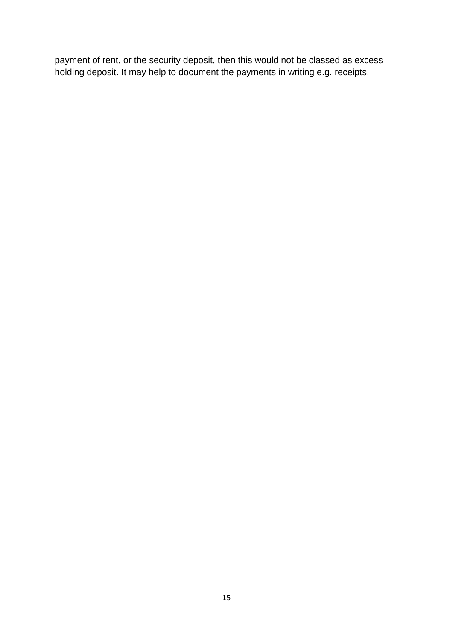payment of rent, or the security deposit, then this would not be classed as excess holding deposit. It may help to document the payments in writing e.g. receipts.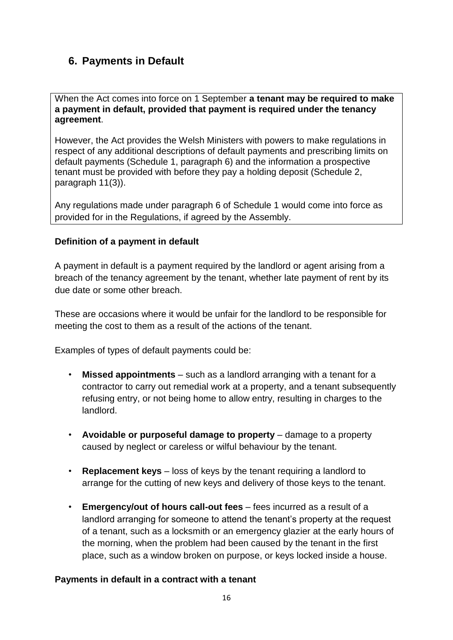## <span id="page-15-0"></span>**6. Payments in Default**

When the Act comes into force on 1 September **a tenant may be required to make a payment in default, provided that payment is required under the tenancy agreement**.

However, the Act provides the Welsh Ministers with powers to make regulations in respect of any additional descriptions of default payments and prescribing limits on default payments (Schedule 1, paragraph 6) and the information a prospective tenant must be provided with before they pay a holding deposit (Schedule 2, paragraph 11(3)).

Any regulations made under paragraph 6 of Schedule 1 would come into force as provided for in the Regulations, if agreed by the Assembly.

#### <span id="page-15-1"></span>**Definition of a payment in default**

A payment in default is a payment required by the landlord or agent arising from a breach of the tenancy agreement by the tenant, whether late payment of rent by its due date or some other breach.

These are occasions where it would be unfair for the landlord to be responsible for meeting the cost to them as a result of the actions of the tenant.

Examples of types of default payments could be:

- **Missed appointments** such as a landlord arranging with a tenant for a contractor to carry out remedial work at a property, and a tenant subsequently refusing entry, or not being home to allow entry, resulting in charges to the landlord.
- **Avoidable or purposeful damage to property** damage to a property caused by neglect or careless or wilful behaviour by the tenant.
- **Replacement keys** loss of keys by the tenant requiring a landlord to arrange for the cutting of new keys and delivery of those keys to the tenant.
- **Emergency/out of hours call-out fees** fees incurred as a result of a landlord arranging for someone to attend the tenant's property at the request of a tenant, such as a locksmith or an emergency glazier at the early hours of the morning, when the problem had been caused by the tenant in the first place, such as a window broken on purpose, or keys locked inside a house.

#### <span id="page-15-2"></span>**Payments in default in a contract with a tenant**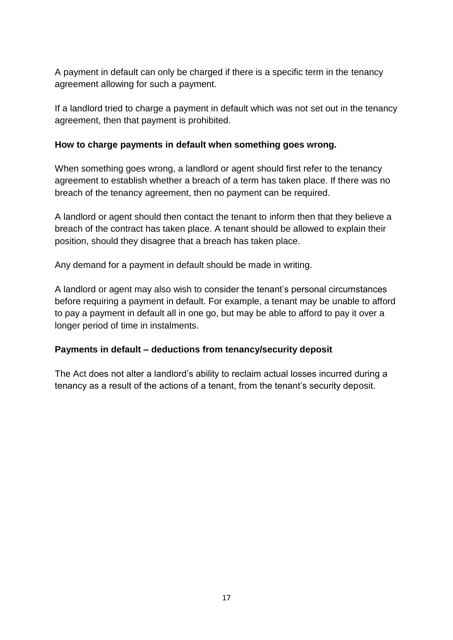A payment in default can only be charged if there is a specific term in the tenancy agreement allowing for such a payment.

If a landlord tried to charge a payment in default which was not set out in the tenancy agreement, then that payment is prohibited.

#### <span id="page-16-0"></span>**How to charge payments in default when something goes wrong.**

When something goes wrong, a landlord or agent should first refer to the tenancy agreement to establish whether a breach of a term has taken place. If there was no breach of the tenancy agreement, then no payment can be required.

A landlord or agent should then contact the tenant to inform then that they believe a breach of the contract has taken place. A tenant should be allowed to explain their position, should they disagree that a breach has taken place.

Any demand for a payment in default should be made in writing.

A landlord or agent may also wish to consider the tenant's personal circumstances before requiring a payment in default. For example, a tenant may be unable to afford to pay a payment in default all in one go, but may be able to afford to pay it over a longer period of time in instalments.

#### <span id="page-16-1"></span>**Payments in default – deductions from tenancy/security deposit**

The Act does not alter a landlord's ability to reclaim actual losses incurred during a tenancy as a result of the actions of a tenant, from the tenant's security deposit.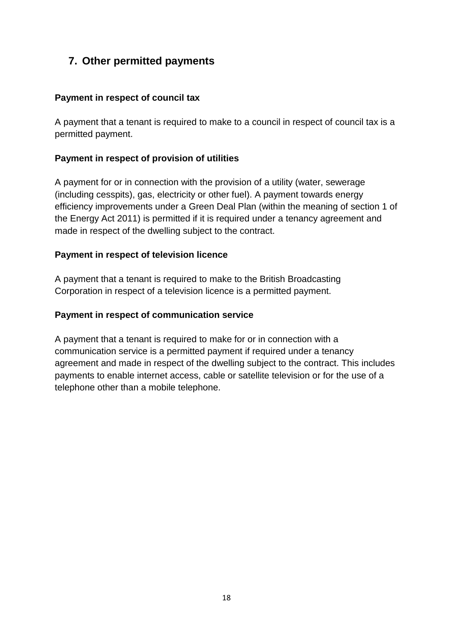## <span id="page-17-0"></span>**7. Other permitted payments**

#### <span id="page-17-1"></span>**Payment in respect of council tax**

A payment that a tenant is required to make to a council in respect of council tax is a permitted payment.

#### <span id="page-17-2"></span>**Payment in respect of provision of utilities**

A payment for or in connection with the provision of a utility (water, sewerage (including cesspits), gas, electricity or other fuel). A payment towards energy efficiency improvements under a Green Deal Plan (within the meaning of section 1 of the Energy Act 2011) is permitted if it is required under a tenancy agreement and made in respect of the dwelling subject to the contract.

#### <span id="page-17-3"></span>**Payment in respect of television licence**

A payment that a tenant is required to make to the British Broadcasting Corporation in respect of a television licence is a permitted payment.

#### <span id="page-17-4"></span>**Payment in respect of communication service**

A payment that a tenant is required to make for or in connection with a communication service is a permitted payment if required under a tenancy agreement and made in respect of the dwelling subject to the contract. This includes payments to enable internet access, cable or satellite television or for the use of a telephone other than a mobile telephone.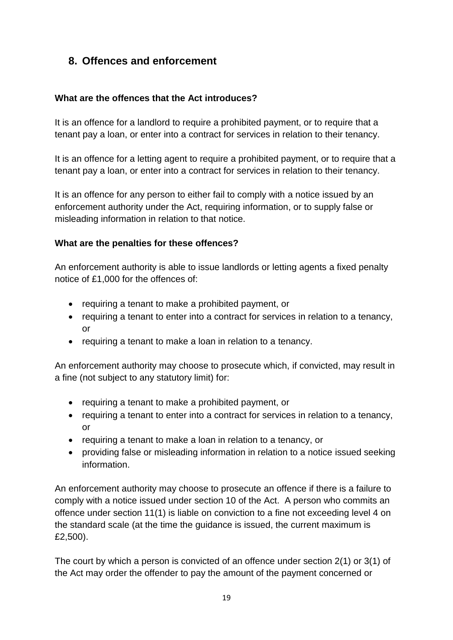## <span id="page-18-0"></span>**8. Offences and enforcement**

#### <span id="page-18-1"></span>**What are the offences that the Act introduces?**

It is an offence for a landlord to require a prohibited payment, or to require that a tenant pay a loan, or enter into a contract for services in relation to their tenancy.

It is an offence for a letting agent to require a prohibited payment, or to require that a tenant pay a loan, or enter into a contract for services in relation to their tenancy.

It is an offence for any person to either fail to comply with a notice issued by an enforcement authority under the Act, requiring information, or to supply false or misleading information in relation to that notice.

#### <span id="page-18-2"></span>**What are the penalties for these offences?**

An enforcement authority is able to issue landlords or letting agents a fixed penalty notice of £1,000 for the offences of:

- requiring a tenant to make a prohibited payment, or
- requiring a tenant to enter into a contract for services in relation to a tenancy, or
- requiring a tenant to make a loan in relation to a tenancy.

An enforcement authority may choose to prosecute which, if convicted, may result in a fine (not subject to any statutory limit) for:

- requiring a tenant to make a prohibited payment, or
- requiring a tenant to enter into a contract for services in relation to a tenancy, or
- requiring a tenant to make a loan in relation to a tenancy, or
- providing false or misleading information in relation to a notice issued seeking information.

An enforcement authority may choose to prosecute an offence if there is a failure to comply with a notice issued under section 10 of the Act. A person who commits an offence under section 11(1) is liable on conviction to a fine not exceeding level 4 on the standard scale (at the time the guidance is issued, the current maximum is £2,500).

The court by which a person is convicted of an offence under section 2(1) or 3(1) of the Act may order the offender to pay the amount of the payment concerned or